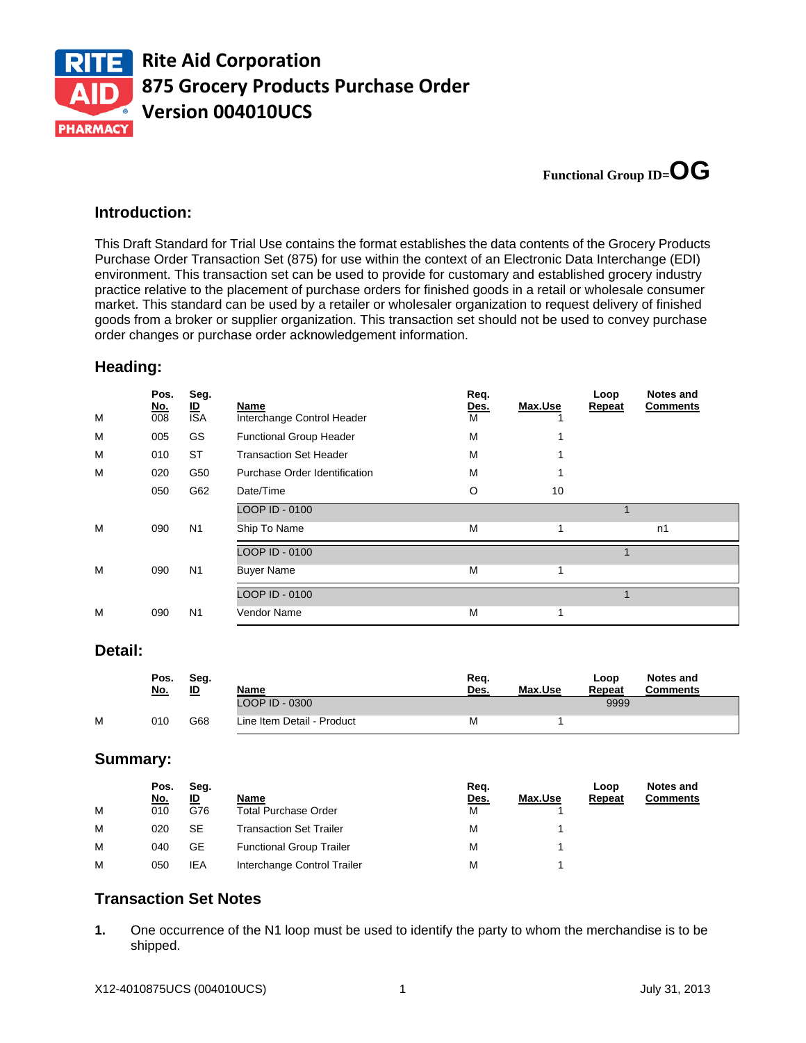

**Functional Group ID=OG** 

### **Introduction:**

This Draft Standard for Trial Use contains the format establishes the data contents of the Grocery Products Purchase Order Transaction Set (875) for use within the context of an Electronic Data Interchange (EDI) environment. This transaction set can be used to provide for customary and established grocery industry practice relative to the placement of purchase orders for finished goods in a retail or wholesale consumer market. This standard can be used by a retailer or wholesaler organization to request delivery of finished goods from a broker or supplier organization. This transaction set should not be used to convey purchase order changes or purchase order acknowledgement information.

### **Heading:**

| n1 |
|----|
|    |
|    |
|    |
|    |
|    |

#### **Detail:**

|   | Pos.<br><u>No.</u> | Seg.<br>ID | <b>Name</b>                | Rea.<br>Des. | Max.Use | Loop<br>Repeat | <b>Notes and</b><br><b>Comments</b> |
|---|--------------------|------------|----------------------------|--------------|---------|----------------|-------------------------------------|
|   |                    |            | _OOP ID - 0300             |              |         | 9999           |                                     |
| м | 010                | G68        | Line Item Detail - Product | м            |         |                |                                     |

## **Summary:**

|   | Pos.       | Seg.      |                                 | Req. |         | Loop   | Notes and       |
|---|------------|-----------|---------------------------------|------|---------|--------|-----------------|
|   | <u>No.</u> | <u>ID</u> | Name                            | Des. | Max.Use | Repeat | <b>Comments</b> |
| M | 010        | G76       | <b>Total Purchase Order</b>     | М    |         |        |                 |
| м | 020        | SE        | <b>Transaction Set Trailer</b>  | М    |         |        |                 |
| м | 040        | GE        | <b>Functional Group Trailer</b> | м    |         |        |                 |
| М | 050        | IEA       | Interchange Control Trailer     | М    |         |        |                 |

# **Transaction Set Notes**

**1.** One occurrence of the N1 loop must be used to identify the party to whom the merchandise is to be shipped.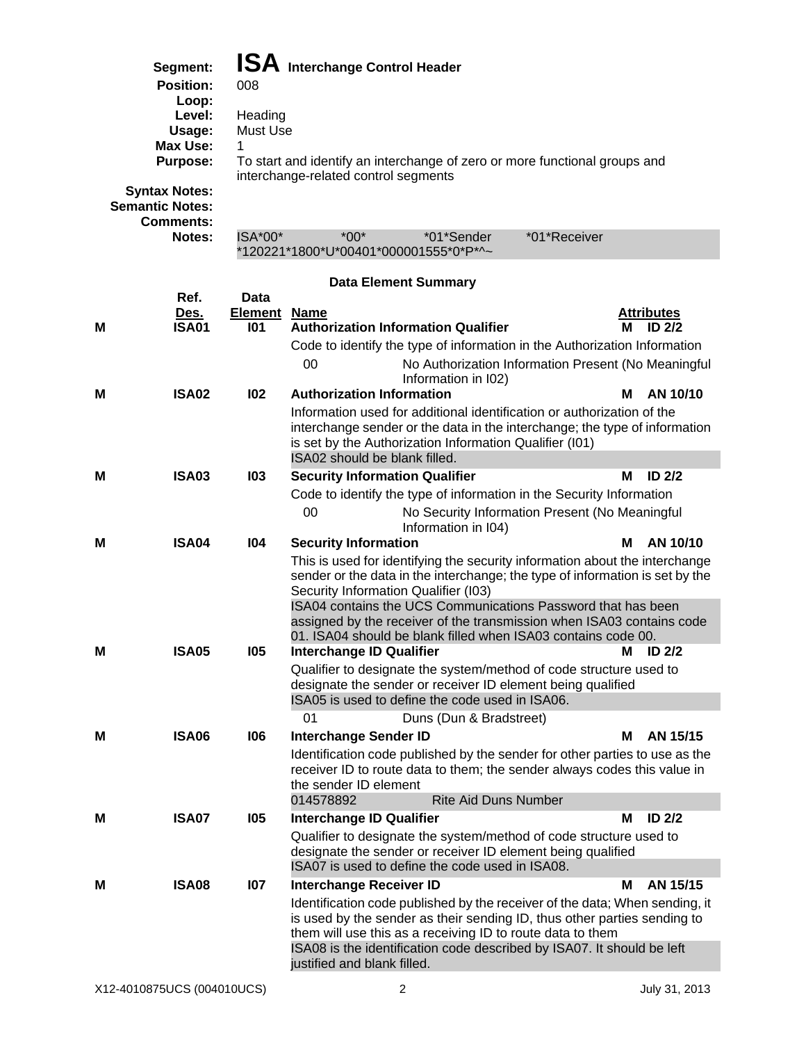| Interchanc |  |
|------------|--|

|  | $\mathsf{P}$ Interchange Control Header |  |  |
|--|-----------------------------------------|--|--|
|--|-----------------------------------------|--|--|

| Segment:<br><b>Position:</b><br>Loop:                             | 008            | <b>ISA</b> Interchange Control Header           |                             |            |                                                                            |            |
|-------------------------------------------------------------------|----------------|-------------------------------------------------|-----------------------------|------------|----------------------------------------------------------------------------|------------|
| Level:                                                            | Heading        |                                                 |                             |            |                                                                            |            |
| Usage:                                                            | Must Use       |                                                 |                             |            |                                                                            |            |
| Max Use:                                                          |                |                                                 |                             |            |                                                                            |            |
| <b>Purpose:</b><br><b>Syntax Notes:</b><br><b>Semantic Notes:</b> |                | interchange-related control segments            |                             |            | To start and identify an interchange of zero or more functional groups and |            |
| <b>Comments:</b>                                                  |                |                                                 |                             |            |                                                                            |            |
| <b>Notes:</b>                                                     | $ISA*00*$      | $*00*$<br>*120221*1800*U*00401*000001555*0*P*^~ |                             | *01*Sender | *01*Receiver                                                               |            |
|                                                                   |                |                                                 |                             |            |                                                                            |            |
|                                                                   |                |                                                 | <b>Data Element Summary</b> |            |                                                                            |            |
| Ref.                                                              | Data           |                                                 |                             |            |                                                                            |            |
| Des.                                                              | <b>Element</b> | <b>Name</b>                                     |                             |            |                                                                            | Attributes |

| M | <b>ISA01</b> | 101 | <b>Authorization Information Qualifier</b>                                                                                                                                                                                                       | М | <b>ID 2/2</b>     |
|---|--------------|-----|--------------------------------------------------------------------------------------------------------------------------------------------------------------------------------------------------------------------------------------------------|---|-------------------|
|   |              |     | Code to identify the type of information in the Authorization Information                                                                                                                                                                        |   |                   |
|   |              |     | 00<br>No Authorization Information Present (No Meaningful<br>Information in I02)                                                                                                                                                                 |   |                   |
| м | <b>ISA02</b> | 102 | <b>Authorization Information</b>                                                                                                                                                                                                                 | М | AN 10/10          |
|   |              |     | Information used for additional identification or authorization of the<br>interchange sender or the data in the interchange; the type of information<br>is set by the Authorization Information Qualifier (I01)<br>ISA02 should be blank filled. |   |                   |
|   | <b>ISA03</b> | 103 |                                                                                                                                                                                                                                                  | М | ID <sub>2/2</sub> |
| M |              |     | <b>Security Information Qualifier</b>                                                                                                                                                                                                            |   |                   |
|   |              |     | Code to identify the type of information in the Security Information                                                                                                                                                                             |   |                   |
|   |              |     | 00<br>No Security Information Present (No Meaningful<br>Information in I04)                                                                                                                                                                      |   |                   |
| м | <b>ISA04</b> | 104 | <b>Security Information</b>                                                                                                                                                                                                                      | м | AN 10/10          |
|   |              |     | This is used for identifying the security information about the interchange<br>sender or the data in the interchange; the type of information is set by the<br>Security Information Qualifier (I03)                                              |   |                   |
|   |              |     | ISA04 contains the UCS Communications Password that has been<br>assigned by the receiver of the transmission when ISA03 contains code<br>01. ISA04 should be blank filled when ISA03 contains code 00.                                           |   |                   |
| м | <b>ISA05</b> | 105 | <b>Interchange ID Qualifier</b>                                                                                                                                                                                                                  | м | ID $2/2$          |
|   |              |     | Qualifier to designate the system/method of code structure used to                                                                                                                                                                               |   |                   |
|   |              |     | designate the sender or receiver ID element being qualified<br>ISA05 is used to define the code used in ISA06.                                                                                                                                   |   |                   |
|   |              |     | 01<br>Duns (Dun & Bradstreet)                                                                                                                                                                                                                    |   |                   |
| М | <b>ISA06</b> | 106 | <b>Interchange Sender ID</b>                                                                                                                                                                                                                     | М | AN 15/15          |
|   |              |     | Identification code published by the sender for other parties to use as the<br>receiver ID to route data to them; the sender always codes this value in<br>the sender ID element                                                                 |   |                   |
|   |              |     | <b>Rite Aid Duns Number</b><br>014578892                                                                                                                                                                                                         |   |                   |
| М | <b>ISA07</b> | 105 | <b>Interchange ID Qualifier</b>                                                                                                                                                                                                                  | М | ID <sub>2/2</sub> |
|   |              |     | Qualifier to designate the system/method of code structure used to<br>designate the sender or receiver ID element being qualified<br>ISA07 is used to define the code used in ISA08.                                                             |   |                   |
| м | <b>ISA08</b> | 107 | <b>Interchange Receiver ID</b>                                                                                                                                                                                                                   | М | AN 15/15          |
|   |              |     | Identification code published by the receiver of the data; When sending, it<br>is used by the sender as their sending ID, thus other parties sending to<br>them will use this as a receiving ID to route data to them                            |   |                   |
|   |              |     | ISA08 is the identification code described by ISA07. It should be left<br>justified and blank filled.                                                                                                                                            |   |                   |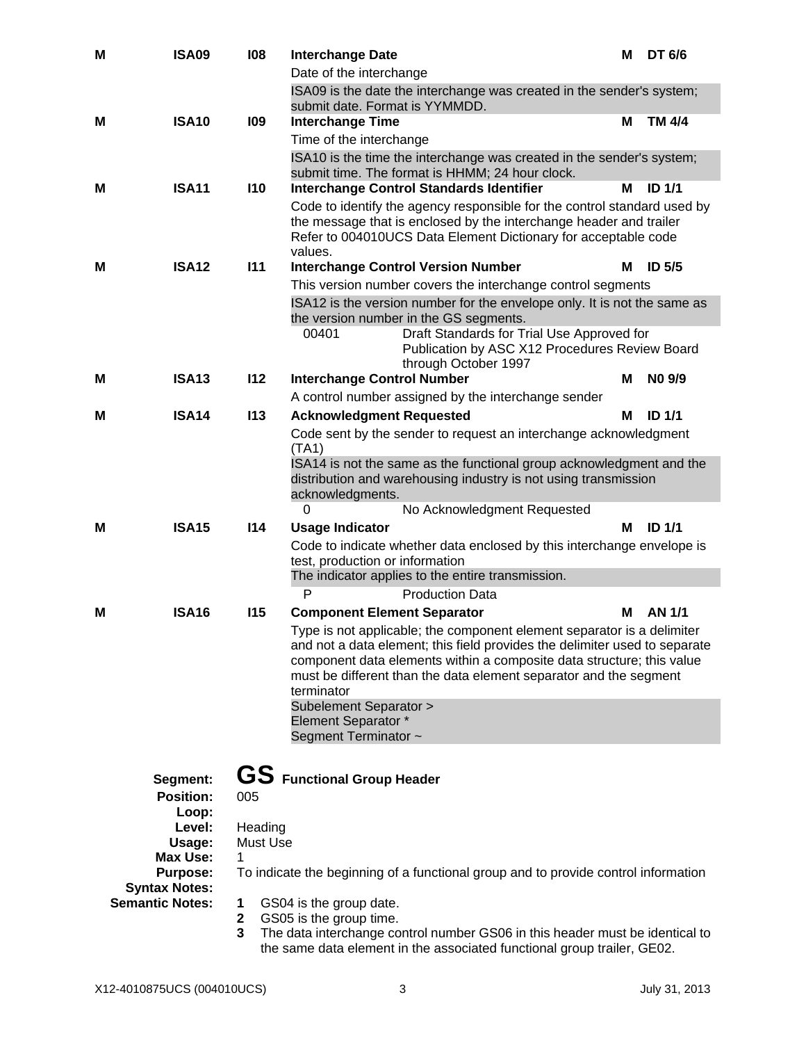| M | <b>ISA09</b>                            | 108               | <b>Interchange Date</b><br>Date of the interchange                                                                                                                                                                                                                                                               | м | DT 6/6            |
|---|-----------------------------------------|-------------------|------------------------------------------------------------------------------------------------------------------------------------------------------------------------------------------------------------------------------------------------------------------------------------------------------------------|---|-------------------|
|   |                                         |                   | ISA09 is the date the interchange was created in the sender's system;                                                                                                                                                                                                                                            |   |                   |
|   |                                         |                   | submit date. Format is YYMMDD.                                                                                                                                                                                                                                                                                   |   |                   |
| М | <b>ISA10</b>                            | 109               | <b>Interchange Time</b>                                                                                                                                                                                                                                                                                          | М | TM 4/4            |
|   |                                         |                   | Time of the interchange                                                                                                                                                                                                                                                                                          |   |                   |
|   |                                         |                   | ISA10 is the time the interchange was created in the sender's system;                                                                                                                                                                                                                                            |   |                   |
|   |                                         |                   | submit time. The format is HHMM; 24 hour clock.                                                                                                                                                                                                                                                                  |   |                   |
| м | <b>ISA11</b>                            | <b>I10</b>        | <b>Interchange Control Standards Identifier</b>                                                                                                                                                                                                                                                                  | м | <b>ID 1/1</b>     |
|   |                                         |                   | Code to identify the agency responsible for the control standard used by<br>the message that is enclosed by the interchange header and trailer<br>Refer to 004010UCS Data Element Dictionary for acceptable code<br>values.                                                                                      |   |                   |
| М | <b>ISA12</b>                            | 111               | <b>Interchange Control Version Number</b>                                                                                                                                                                                                                                                                        | м | ID <sub>5/5</sub> |
|   |                                         |                   | This version number covers the interchange control segments                                                                                                                                                                                                                                                      |   |                   |
|   |                                         |                   | ISA12 is the version number for the envelope only. It is not the same as<br>the version number in the GS segments.                                                                                                                                                                                               |   |                   |
|   |                                         |                   | 00401<br>Draft Standards for Trial Use Approved for<br>Publication by ASC X12 Procedures Review Board<br>through October 1997                                                                                                                                                                                    |   |                   |
| м | <b>ISA13</b>                            | 112               | <b>Interchange Control Number</b>                                                                                                                                                                                                                                                                                | М | NO 9/9            |
|   |                                         |                   | A control number assigned by the interchange sender                                                                                                                                                                                                                                                              |   |                   |
| м | <b>ISA14</b>                            | <b>I13</b>        | <b>Acknowledgment Requested</b>                                                                                                                                                                                                                                                                                  | м | ID <sub>1/1</sub> |
|   |                                         |                   | Code sent by the sender to request an interchange acknowledgment                                                                                                                                                                                                                                                 |   |                   |
|   |                                         |                   | (TA1)                                                                                                                                                                                                                                                                                                            |   |                   |
|   |                                         |                   | ISA14 is not the same as the functional group acknowledgment and the                                                                                                                                                                                                                                             |   |                   |
|   |                                         |                   | distribution and warehousing industry is not using transmission<br>acknowledgments.                                                                                                                                                                                                                              |   |                   |
|   |                                         |                   |                                                                                                                                                                                                                                                                                                                  |   |                   |
|   |                                         |                   | 0                                                                                                                                                                                                                                                                                                                |   |                   |
| м | <b>ISA15</b>                            | 114               | No Acknowledgment Requested<br><b>Usage Indicator</b>                                                                                                                                                                                                                                                            | м | <b>ID 1/1</b>     |
|   |                                         |                   | Code to indicate whether data enclosed by this interchange envelope is                                                                                                                                                                                                                                           |   |                   |
|   |                                         |                   | test, production or information                                                                                                                                                                                                                                                                                  |   |                   |
|   |                                         |                   | The indicator applies to the entire transmission.                                                                                                                                                                                                                                                                |   |                   |
|   |                                         |                   | P<br><b>Production Data</b>                                                                                                                                                                                                                                                                                      |   |                   |
| м | <b>ISA16</b>                            | <b>I15</b>        | <b>Component Element Separator</b>                                                                                                                                                                                                                                                                               | м | <b>AN 1/1</b>     |
|   |                                         |                   | Type is not applicable; the component element separator is a delimiter<br>and not a data element; this field provides the delimiter used to separate<br>component data elements within a composite data structure; this value<br>must be different than the data element separator and the segment<br>terminator |   |                   |
|   |                                         |                   | Subelement Separator >                                                                                                                                                                                                                                                                                           |   |                   |
|   |                                         |                   | <b>Element Separator *</b>                                                                                                                                                                                                                                                                                       |   |                   |
|   |                                         |                   | Segment Terminator ~                                                                                                                                                                                                                                                                                             |   |                   |
|   | Segment:<br><b>Position:</b>            |                   | GS Functional Group Header                                                                                                                                                                                                                                                                                       |   |                   |
|   | Loop:                                   | 005               |                                                                                                                                                                                                                                                                                                                  |   |                   |
|   | Level:                                  | Heading           |                                                                                                                                                                                                                                                                                                                  |   |                   |
|   | Usage:                                  | Must Use          |                                                                                                                                                                                                                                                                                                                  |   |                   |
|   | <b>Max Use:</b>                         | 1                 |                                                                                                                                                                                                                                                                                                                  |   |                   |
|   | <b>Purpose:</b><br><b>Syntax Notes:</b> |                   | To indicate the beginning of a functional group and to provide control information                                                                                                                                                                                                                               |   |                   |
|   | <b>Semantic Notes:</b>                  | 1                 | GS04 is the group date.                                                                                                                                                                                                                                                                                          |   |                   |
|   |                                         | $\mathbf{2}$<br>3 | GS05 is the group time.<br>The data interchange control number GS06 in this header must be identical to                                                                                                                                                                                                          |   |                   |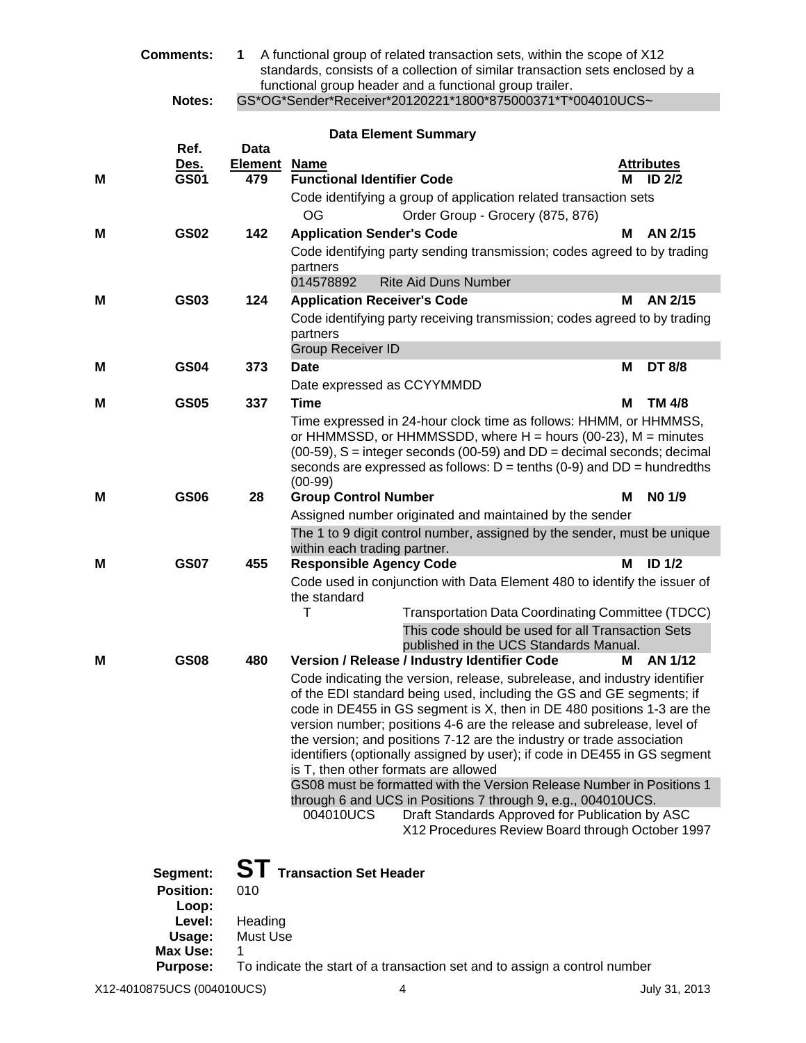|   | <b>Comments:</b>                                                                                | A functional group of related transaction sets, within the scope of X12<br>1.<br>standards, consists of a collection of similar transaction sets enclosed by a<br>functional group header and a functional group trailer. |                                                                                                                                                                                                                                                                                                                                                                                                                                                                                                     |                                             |  |  |
|---|-------------------------------------------------------------------------------------------------|---------------------------------------------------------------------------------------------------------------------------------------------------------------------------------------------------------------------------|-----------------------------------------------------------------------------------------------------------------------------------------------------------------------------------------------------------------------------------------------------------------------------------------------------------------------------------------------------------------------------------------------------------------------------------------------------------------------------------------------------|---------------------------------------------|--|--|
|   | Notes:                                                                                          |                                                                                                                                                                                                                           | GS*OG*Sender*Receiver*20120221*1800*875000371*T*004010UCS~                                                                                                                                                                                                                                                                                                                                                                                                                                          |                                             |  |  |
|   | Ref.                                                                                            | Data                                                                                                                                                                                                                      | <b>Data Element Summary</b>                                                                                                                                                                                                                                                                                                                                                                                                                                                                         |                                             |  |  |
| м | <u>Des.</u><br><b>GS01</b>                                                                      | Element<br>479                                                                                                                                                                                                            | <b>Name</b><br><b>Functional Identifier Code</b>                                                                                                                                                                                                                                                                                                                                                                                                                                                    | <b>Attributes</b><br>ID <sub>2/2</sub><br>м |  |  |
|   |                                                                                                 |                                                                                                                                                                                                                           | Code identifying a group of application related transaction sets<br><b>OG</b><br>Order Group - Grocery (875, 876)                                                                                                                                                                                                                                                                                                                                                                                   |                                             |  |  |
| м | <b>GS02</b>                                                                                     | 142                                                                                                                                                                                                                       | <b>Application Sender's Code</b>                                                                                                                                                                                                                                                                                                                                                                                                                                                                    | AN 2/15<br>м                                |  |  |
|   |                                                                                                 |                                                                                                                                                                                                                           | Code identifying party sending transmission; codes agreed to by trading<br>partners                                                                                                                                                                                                                                                                                                                                                                                                                 |                                             |  |  |
|   |                                                                                                 |                                                                                                                                                                                                                           | 014578892<br><b>Rite Aid Duns Number</b>                                                                                                                                                                                                                                                                                                                                                                                                                                                            |                                             |  |  |
| М | GS03                                                                                            | 124                                                                                                                                                                                                                       | <b>Application Receiver's Code</b><br>Code identifying party receiving transmission; codes agreed to by trading                                                                                                                                                                                                                                                                                                                                                                                     | AN 2/15<br>м                                |  |  |
|   |                                                                                                 |                                                                                                                                                                                                                           | partners                                                                                                                                                                                                                                                                                                                                                                                                                                                                                            |                                             |  |  |
|   |                                                                                                 |                                                                                                                                                                                                                           | <b>Group Receiver ID</b>                                                                                                                                                                                                                                                                                                                                                                                                                                                                            |                                             |  |  |
| М | <b>GS04</b>                                                                                     | 373                                                                                                                                                                                                                       | <b>Date</b><br>Date expressed as CCYYMMDD                                                                                                                                                                                                                                                                                                                                                                                                                                                           | М<br>DT 8/8                                 |  |  |
| M | <b>GS05</b>                                                                                     | 337                                                                                                                                                                                                                       | <b>Time</b>                                                                                                                                                                                                                                                                                                                                                                                                                                                                                         | М<br>TM 4/8                                 |  |  |
|   |                                                                                                 |                                                                                                                                                                                                                           | Time expressed in 24-hour clock time as follows: HHMM, or HHMMSS,<br>or HHMMSSD, or HHMMSSDD, where $H =$ hours (00-23), $M =$ minutes<br>$(00-59)$ , S = integer seconds $(00-59)$ and DD = decimal seconds; decimal<br>seconds are expressed as follows: $D = \text{tenths} (0-9)$ and $DD = \text{hundredths}$<br>$(00-99)$                                                                                                                                                                      |                                             |  |  |
| М | <b>GS06</b>                                                                                     | 28                                                                                                                                                                                                                        | <b>Group Control Number</b>                                                                                                                                                                                                                                                                                                                                                                                                                                                                         | NO 1/9<br>м                                 |  |  |
|   |                                                                                                 |                                                                                                                                                                                                                           | Assigned number originated and maintained by the sender                                                                                                                                                                                                                                                                                                                                                                                                                                             |                                             |  |  |
|   |                                                                                                 |                                                                                                                                                                                                                           | The 1 to 9 digit control number, assigned by the sender, must be unique<br>within each trading partner.                                                                                                                                                                                                                                                                                                                                                                                             |                                             |  |  |
| м | <b>GS07</b>                                                                                     | 455                                                                                                                                                                                                                       | <b>Responsible Agency Code</b>                                                                                                                                                                                                                                                                                                                                                                                                                                                                      | м<br>ID <sub>1/2</sub>                      |  |  |
|   |                                                                                                 |                                                                                                                                                                                                                           | Code used in conjunction with Data Element 480 to identify the issuer of<br>the standard<br>T<br><b>Transportation Data Coordinating Committee (TDCC)</b><br>This code should be used for all Transaction Sets                                                                                                                                                                                                                                                                                      |                                             |  |  |
| м | <b>GS08</b>                                                                                     | 480                                                                                                                                                                                                                       | published in the UCS Standards Manual.<br>Version / Release / Industry Identifier Code                                                                                                                                                                                                                                                                                                                                                                                                              | AN 1/12<br>М                                |  |  |
|   |                                                                                                 |                                                                                                                                                                                                                           | Code indicating the version, release, subrelease, and industry identifier<br>of the EDI standard being used, including the GS and GE segments; if<br>code in DE455 in GS segment is X, then in DE 480 positions 1-3 are the<br>version number; positions 4-6 are the release and subrelease, level of<br>the version; and positions 7-12 are the industry or trade association<br>identifiers (optionally assigned by user); if code in DE455 in GS segment<br>is T, then other formats are allowed |                                             |  |  |
|   |                                                                                                 |                                                                                                                                                                                                                           | GS08 must be formatted with the Version Release Number in Positions 1<br>through 6 and UCS in Positions 7 through 9, e.g., 004010UCS.                                                                                                                                                                                                                                                                                                                                                               |                                             |  |  |
|   |                                                                                                 |                                                                                                                                                                                                                           | 004010UCS<br>Draft Standards Approved for Publication by ASC<br>X12 Procedures Review Board through October 1997                                                                                                                                                                                                                                                                                                                                                                                    |                                             |  |  |
|   | Segment:<br><b>Position:</b><br>Loop:<br>Level:<br>Usage:<br><b>Max Use:</b><br><b>Purpose:</b> | 010<br>Heading<br>Must Use<br>1                                                                                                                                                                                           | <b>ST</b> Transaction Set Header<br>To indicate the start of a transaction set and to assign a control number                                                                                                                                                                                                                                                                                                                                                                                       |                                             |  |  |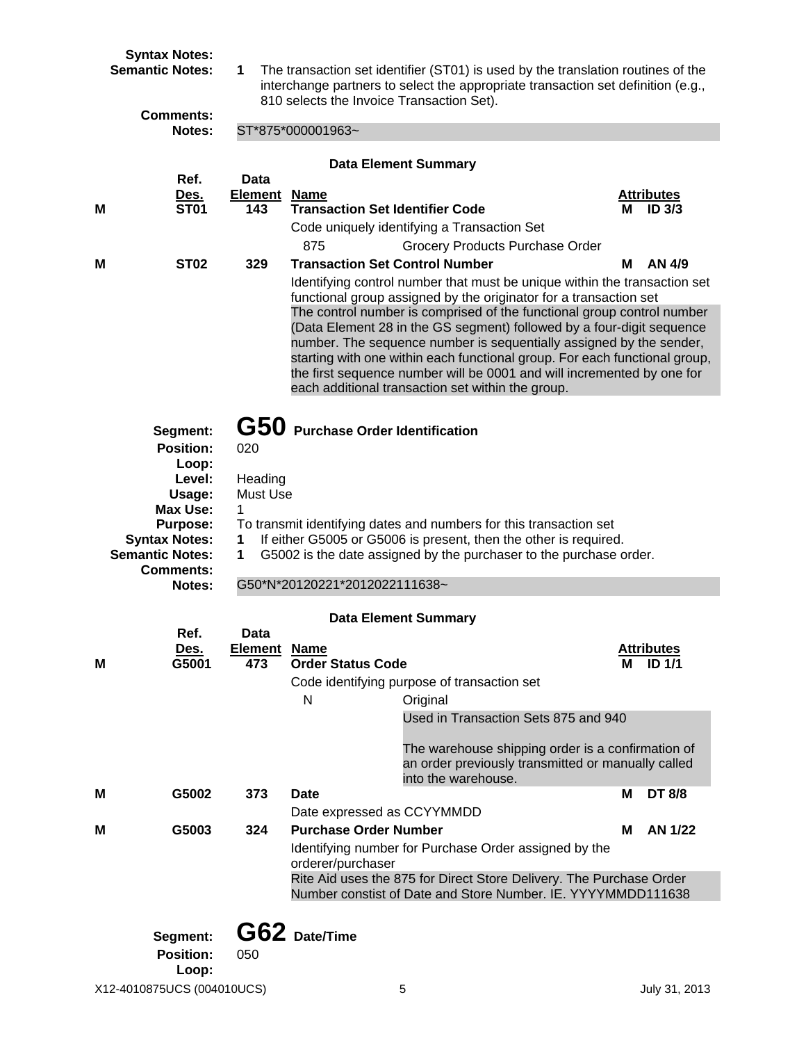|   | <b>Syntax Notes:</b><br><b>Semantic Notes:</b> | 1                 | The transaction set identifier (ST01) is used by the translation routines of the<br>interchange partners to select the appropriate transaction set definition (e.g.,<br>810 selects the Invoice Transaction Set). |                        |  |  |  |  |
|---|------------------------------------------------|-------------------|-------------------------------------------------------------------------------------------------------------------------------------------------------------------------------------------------------------------|------------------------|--|--|--|--|
|   | <b>Comments:</b><br>Notes:                     | ST*875*000001963~ |                                                                                                                                                                                                                   |                        |  |  |  |  |
|   |                                                |                   |                                                                                                                                                                                                                   |                        |  |  |  |  |
|   | Ref.<br>Des.                                   | Data<br>Element   | <b>Data Element Summary</b><br><b>Name</b>                                                                                                                                                                        | <b>Attributes</b>      |  |  |  |  |
| M | <b>ST01</b>                                    | 143               | <b>Transaction Set Identifier Code</b>                                                                                                                                                                            | ID <sub>3/3</sub><br>М |  |  |  |  |
|   |                                                |                   | Code uniquely identifying a Transaction Set                                                                                                                                                                       |                        |  |  |  |  |
| M | <b>ST02</b>                                    | 329               | 875<br>Grocery Products Purchase Order<br><b>Transaction Set Control Number</b>                                                                                                                                   | AN 4/9<br>м            |  |  |  |  |
|   |                                                |                   | Identifying control number that must be unique within the transaction set                                                                                                                                         |                        |  |  |  |  |
|   |                                                |                   | functional group assigned by the originator for a transaction set                                                                                                                                                 |                        |  |  |  |  |
|   |                                                |                   | The control number is comprised of the functional group control number<br>(Data Element 28 in the GS segment) followed by a four-digit sequence                                                                   |                        |  |  |  |  |
|   |                                                |                   | number. The sequence number is sequentially assigned by the sender,                                                                                                                                               |                        |  |  |  |  |
|   |                                                |                   | starting with one within each functional group. For each functional group,                                                                                                                                        |                        |  |  |  |  |
|   |                                                |                   | the first sequence number will be 0001 and will incremented by one for<br>each additional transaction set within the group.                                                                                       |                        |  |  |  |  |
|   |                                                |                   |                                                                                                                                                                                                                   |                        |  |  |  |  |
|   | Segment:                                       |                   | G50 Purchase Order Identification                                                                                                                                                                                 |                        |  |  |  |  |
|   | <b>Position:</b>                               | 020               |                                                                                                                                                                                                                   |                        |  |  |  |  |
|   | Loop:<br>Level:                                | Heading           |                                                                                                                                                                                                                   |                        |  |  |  |  |
|   | Usage:                                         | Must Use          |                                                                                                                                                                                                                   |                        |  |  |  |  |
|   | <b>Max Use:</b><br><b>Purpose:</b>             | 1                 | To transmit identifying dates and numbers for this transaction set                                                                                                                                                |                        |  |  |  |  |
|   | <b>Syntax Notes:</b>                           | 1                 | If either G5005 or G5006 is present, then the other is required.                                                                                                                                                  |                        |  |  |  |  |
|   | <b>Semantic Notes:</b><br><b>Comments:</b>     | 1                 | G5002 is the date assigned by the purchaser to the purchase order.                                                                                                                                                |                        |  |  |  |  |
|   | Notes:                                         |                   | G50*N*20120221*2012022111638~                                                                                                                                                                                     |                        |  |  |  |  |
|   |                                                |                   |                                                                                                                                                                                                                   |                        |  |  |  |  |
|   | Ref.                                           | Data              | <b>Data Element Summary</b>                                                                                                                                                                                       |                        |  |  |  |  |
|   | <u>Des.</u>                                    | <b>Element</b>    | <b>Name</b>                                                                                                                                                                                                       | <b>Attributes</b>      |  |  |  |  |
| М | G5001                                          | 473               | <b>Order Status Code</b>                                                                                                                                                                                          | ID                     |  |  |  |  |
|   |                                                |                   | Code identifying purpose of transaction set<br>N<br>Original                                                                                                                                                      |                        |  |  |  |  |
|   |                                                |                   | Used in Transaction Sets 875 and 940                                                                                                                                                                              |                        |  |  |  |  |
|   |                                                |                   |                                                                                                                                                                                                                   |                        |  |  |  |  |
|   |                                                |                   | The warehouse shipping order is a confirmation of<br>an order previously transmitted or manually called                                                                                                           |                        |  |  |  |  |
|   |                                                |                   | into the warehouse.                                                                                                                                                                                               |                        |  |  |  |  |
| M | G5002                                          | 373               | <b>Date</b>                                                                                                                                                                                                       | <b>DT 8/8</b><br>М     |  |  |  |  |
| M | G5003                                          | 324               | Date expressed as CCYYMMDD<br><b>Purchase Order Number</b>                                                                                                                                                        | AN 1/22<br>м           |  |  |  |  |
|   |                                                |                   | Identifying number for Purchase Order assigned by the                                                                                                                                                             |                        |  |  |  |  |
|   |                                                |                   | orderer/purchaser                                                                                                                                                                                                 |                        |  |  |  |  |
|   |                                                |                   | Rite Aid uses the 875 for Direct Store Delivery. The Purchase Order<br>Number constist of Date and Store Number. IE. YYYYMMDD111638                                                                               |                        |  |  |  |  |
|   |                                                |                   |                                                                                                                                                                                                                   |                        |  |  |  |  |
|   | Segment:                                       |                   | G62 Date/Time                                                                                                                                                                                                     |                        |  |  |  |  |
|   | <b>Position:</b>                               | 050               |                                                                                                                                                                                                                   |                        |  |  |  |  |
|   | Loop:                                          |                   |                                                                                                                                                                                                                   |                        |  |  |  |  |
|   | X12-4010875UCS (004010UCS)                     |                   | 5                                                                                                                                                                                                                 | July 31, 2013          |  |  |  |  |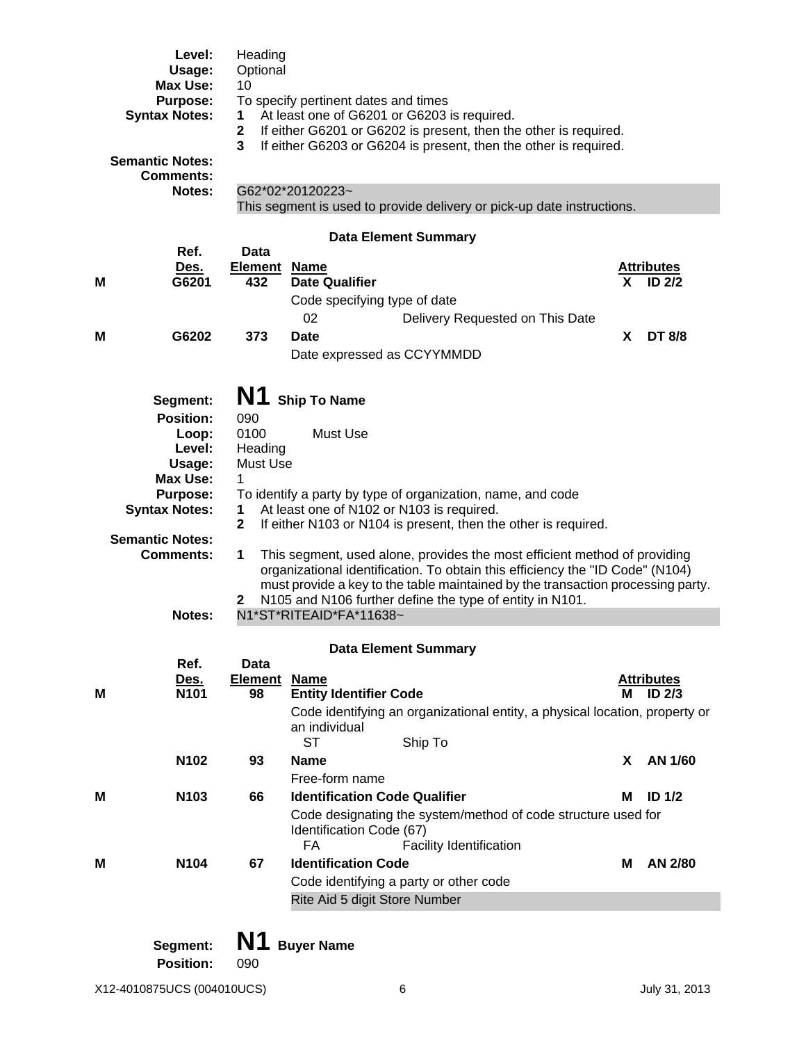|   | Level:                                  | Heading                                                     |                                                                                                                                                            |    |                                        |  |  |  |
|---|-----------------------------------------|-------------------------------------------------------------|------------------------------------------------------------------------------------------------------------------------------------------------------------|----|----------------------------------------|--|--|--|
|   | Usage:                                  | Optional                                                    |                                                                                                                                                            |    |                                        |  |  |  |
|   | Max Use:                                | 10                                                          |                                                                                                                                                            |    |                                        |  |  |  |
|   | <b>Purpose:</b><br><b>Syntax Notes:</b> |                                                             | To specify pertinent dates and times<br>At least one of G6201 or G6203 is required.<br>1                                                                   |    |                                        |  |  |  |
|   |                                         | $\mathbf 2$                                                 | If either G6201 or G6202 is present, then the other is required.                                                                                           |    |                                        |  |  |  |
|   |                                         | 3                                                           | If either G6203 or G6204 is present, then the other is required.                                                                                           |    |                                        |  |  |  |
|   | <b>Semantic Notes:</b>                  |                                                             |                                                                                                                                                            |    |                                        |  |  |  |
|   | <b>Comments:</b>                        |                                                             |                                                                                                                                                            |    |                                        |  |  |  |
|   | Notes:                                  |                                                             | G62*02*20120223~                                                                                                                                           |    |                                        |  |  |  |
|   |                                         |                                                             | This segment is used to provide delivery or pick-up date instructions.                                                                                     |    |                                        |  |  |  |
|   |                                         |                                                             | <b>Data Element Summary</b>                                                                                                                                |    |                                        |  |  |  |
|   | Ref.                                    | <b>Data</b>                                                 |                                                                                                                                                            |    |                                        |  |  |  |
|   | Des.                                    | <b>Element Name</b>                                         |                                                                                                                                                            |    | <b>Attributes</b>                      |  |  |  |
| Μ | G6201                                   | 432                                                         | <b>Date Qualifier</b>                                                                                                                                      | X. | <b>ID 2/2</b>                          |  |  |  |
|   |                                         |                                                             | Code specifying type of date                                                                                                                               |    |                                        |  |  |  |
|   |                                         |                                                             | 02<br>Delivery Requested on This Date                                                                                                                      |    |                                        |  |  |  |
| M | G6202                                   | 373                                                         | Date                                                                                                                                                       | X  | DT 8/8                                 |  |  |  |
|   |                                         |                                                             | Date expressed as CCYYMMDD                                                                                                                                 |    |                                        |  |  |  |
|   |                                         |                                                             |                                                                                                                                                            |    |                                        |  |  |  |
|   |                                         | N1                                                          | <b>Ship To Name</b>                                                                                                                                        |    |                                        |  |  |  |
|   | Segment:                                |                                                             |                                                                                                                                                            |    |                                        |  |  |  |
|   | <b>Position:</b><br>Loop:               | 090<br>0100                                                 | Must Use                                                                                                                                                   |    |                                        |  |  |  |
|   | Level:                                  | Heading                                                     |                                                                                                                                                            |    |                                        |  |  |  |
|   | Usage:                                  | Must Use                                                    |                                                                                                                                                            |    |                                        |  |  |  |
|   | <b>Max Use:</b>                         | 1                                                           |                                                                                                                                                            |    |                                        |  |  |  |
|   | <b>Purpose:</b>                         | To identify a party by type of organization, name, and code |                                                                                                                                                            |    |                                        |  |  |  |
|   | <b>Syntax Notes:</b>                    | 1                                                           | At least one of N102 or N103 is required.                                                                                                                  |    |                                        |  |  |  |
|   |                                         | $\mathbf{2}$                                                | If either N103 or N104 is present, then the other is required.                                                                                             |    |                                        |  |  |  |
|   | <b>Semantic Notes:</b>                  |                                                             |                                                                                                                                                            |    |                                        |  |  |  |
|   | <b>Comments:</b>                        | 1                                                           | This segment, used alone, provides the most efficient method of providing<br>organizational identification. To obtain this efficiency the "ID Code" (N104) |    |                                        |  |  |  |
|   |                                         |                                                             | must provide a key to the table maintained by the transaction processing party.                                                                            |    |                                        |  |  |  |
|   |                                         | $\mathbf{2}$                                                | N105 and N106 further define the type of entity in N101.                                                                                                   |    |                                        |  |  |  |
|   | Notes:                                  |                                                             | N1*ST*RITEAID*FA*11638~                                                                                                                                    |    |                                        |  |  |  |
|   |                                         |                                                             |                                                                                                                                                            |    |                                        |  |  |  |
|   |                                         |                                                             | <b>Data Element Summary</b>                                                                                                                                |    |                                        |  |  |  |
|   | Ref.                                    | <b>Data</b>                                                 |                                                                                                                                                            |    |                                        |  |  |  |
| M | <u>Des.</u><br>N101                     | <b>Element Name</b><br>98                                   | <b>Entity Identifier Code</b>                                                                                                                              | м  | <b>Attributes</b><br>ID <sub>2/3</sub> |  |  |  |
|   |                                         |                                                             | Code identifying an organizational entity, a physical location, property or                                                                                |    |                                        |  |  |  |
|   |                                         |                                                             | an individual                                                                                                                                              |    |                                        |  |  |  |
|   |                                         |                                                             | <b>ST</b><br>Ship To                                                                                                                                       |    |                                        |  |  |  |
|   | N102                                    | 93                                                          | <b>Name</b>                                                                                                                                                | X  | AN 1/60                                |  |  |  |
|   |                                         |                                                             | Free-form name                                                                                                                                             |    |                                        |  |  |  |
| Μ | N103                                    | 66                                                          | <b>Identification Code Qualifier</b>                                                                                                                       | м  | ID <sub>1/2</sub>                      |  |  |  |
|   |                                         |                                                             | Code designating the system/method of code structure used for                                                                                              |    |                                        |  |  |  |
|   |                                         |                                                             | Identification Code (67)                                                                                                                                   |    |                                        |  |  |  |
|   |                                         |                                                             | FA<br>Facility Identification                                                                                                                              |    |                                        |  |  |  |
| М | N104                                    | 67                                                          | <b>Identification Code</b>                                                                                                                                 | м  | AN 2/80                                |  |  |  |
|   |                                         |                                                             | Code identifying a party or other code                                                                                                                     |    |                                        |  |  |  |
|   |                                         |                                                             | Rite Aid 5 digit Store Number                                                                                                                              |    |                                        |  |  |  |
|   |                                         |                                                             |                                                                                                                                                            |    |                                        |  |  |  |
|   | Saamant:                                | N1                                                          | <b>Ruver Name</b>                                                                                                                                          |    |                                        |  |  |  |

**Segment: IN I** Buyer Name<br>**Position:** 090 **Position:**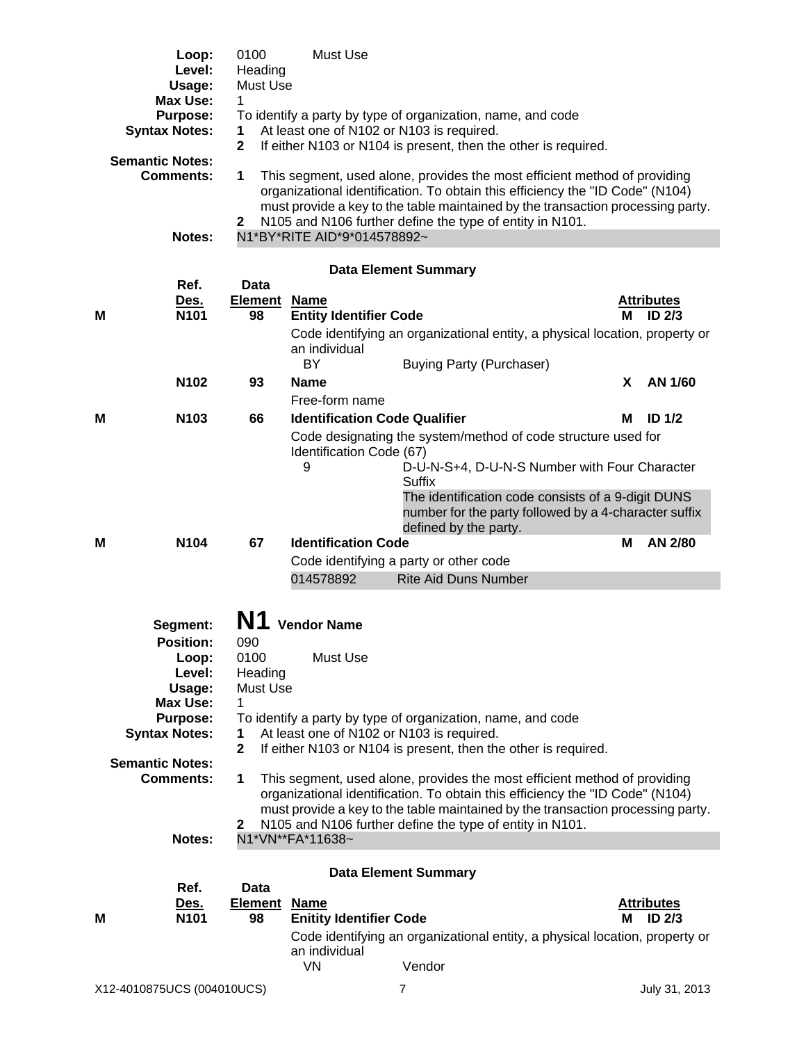|                                                     | Loop:<br>Level:<br>Usage:<br><b>Max Use:</b> | 0100<br>Heading<br>Must Use<br>1 | Must Use                                                              |                                                                                                                                                                                                                                                                                                           |   |                             |
|-----------------------------------------------------|----------------------------------------------|----------------------------------|-----------------------------------------------------------------------|-----------------------------------------------------------------------------------------------------------------------------------------------------------------------------------------------------------------------------------------------------------------------------------------------------------|---|-----------------------------|
|                                                     | <b>Purpose:</b><br><b>Syntax Notes:</b>      | 1<br>$\mathbf{2}$                | At least one of N102 or N103 is required.                             | To identify a party by type of organization, name, and code<br>If either N103 or N104 is present, then the other is required.                                                                                                                                                                             |   |                             |
|                                                     | <b>Semantic Notes:</b><br><b>Comments:</b>   | 1<br>$\mathbf{2}$                |                                                                       | This segment, used alone, provides the most efficient method of providing<br>organizational identification. To obtain this efficiency the "ID Code" (N104)<br>must provide a key to the table maintained by the transaction processing party.<br>N105 and N106 further define the type of entity in N101. |   |                             |
|                                                     | Notes:                                       |                                  | N1*BY*RITE AID*9*014578892~                                           |                                                                                                                                                                                                                                                                                                           |   |                             |
|                                                     | Ref.                                         | Data                             |                                                                       | <b>Data Element Summary</b>                                                                                                                                                                                                                                                                               |   |                             |
| M                                                   | <u>Des.</u><br>N101                          | <b>Element</b><br>98             | <b>Name</b><br><b>Entity Identifier Code</b>                          |                                                                                                                                                                                                                                                                                                           | М | <b>Attributes</b><br>ID 2/3 |
|                                                     |                                              |                                  | an individual<br>BY                                                   | Code identifying an organizational entity, a physical location, property or<br><b>Buying Party (Purchaser)</b>                                                                                                                                                                                            |   |                             |
|                                                     | N102                                         | 93                               | <b>Name</b>                                                           |                                                                                                                                                                                                                                                                                                           | X | AN 1/60                     |
|                                                     |                                              |                                  | Free-form name                                                        |                                                                                                                                                                                                                                                                                                           |   |                             |
| М                                                   | N <sub>103</sub>                             | 66                               | <b>Identification Code Qualifier</b><br>Identification Code (67)<br>9 | Code designating the system/method of code structure used for<br>D-U-N-S+4, D-U-N-S Number with Four Character                                                                                                                                                                                            | м | ID <sub>1/2</sub>           |
|                                                     |                                              |                                  |                                                                       | Suffix<br>The identification code consists of a 9-digit DUNS<br>number for the party followed by a 4-character suffix<br>defined by the party.                                                                                                                                                            |   |                             |
| Μ                                                   | N <sub>104</sub>                             | 67                               | <b>Identification Code</b>                                            |                                                                                                                                                                                                                                                                                                           | M | AN 2/80                     |
|                                                     |                                              |                                  | 014578892                                                             | Code identifying a party or other code<br><b>Rite Aid Duns Number</b>                                                                                                                                                                                                                                     |   |                             |
|                                                     | Segment:                                     |                                  | <b>Vendor Name</b>                                                    |                                                                                                                                                                                                                                                                                                           |   |                             |
|                                                     | <b>Position:</b>                             | 090                              |                                                                       |                                                                                                                                                                                                                                                                                                           |   |                             |
|                                                     | Loop:<br>Level:<br>Usage:                    | 0100<br>Heading<br>Must Use<br>1 | Must Use                                                              |                                                                                                                                                                                                                                                                                                           |   |                             |
| Max Use:<br><b>Purpose:</b><br><b>Syntax Notes:</b> |                                              | 1<br>$\mathbf{2}$                | At least one of N102 or N103 is required.                             | To identify a party by type of organization, name, and code<br>If either N103 or N104 is present, then the other is required.                                                                                                                                                                             |   |                             |
|                                                     | <b>Semantic Notes:</b><br><b>Comments:</b>   | 1<br>$\mathbf{2}$                |                                                                       | This segment, used alone, provides the most efficient method of providing<br>organizational identification. To obtain this efficiency the "ID Code" (N104)<br>must provide a key to the table maintained by the transaction processing party.<br>N105 and N106 further define the type of entity in N101. |   |                             |
|                                                     | <b>Notes:</b>                                |                                  | N1*VN**FA*11638~                                                      |                                                                                                                                                                                                                                                                                                           |   |                             |
|                                                     | Ref.<br>Des.                                 | <b>Data</b><br><b>Element</b>    | <b>Name</b>                                                           | <b>Data Element Summary</b>                                                                                                                                                                                                                                                                               |   | <b>Attributes</b>           |
| м                                                   | N <sub>101</sub>                             | 98                               | <b>Enitity Identifier Code</b>                                        |                                                                                                                                                                                                                                                                                                           | м | <b>ID 2/3</b>               |
|                                                     |                                              |                                  | an individual<br><b>VN</b>                                            | Code identifying an organizational entity, a physical location, property or<br>Vendor                                                                                                                                                                                                                     |   |                             |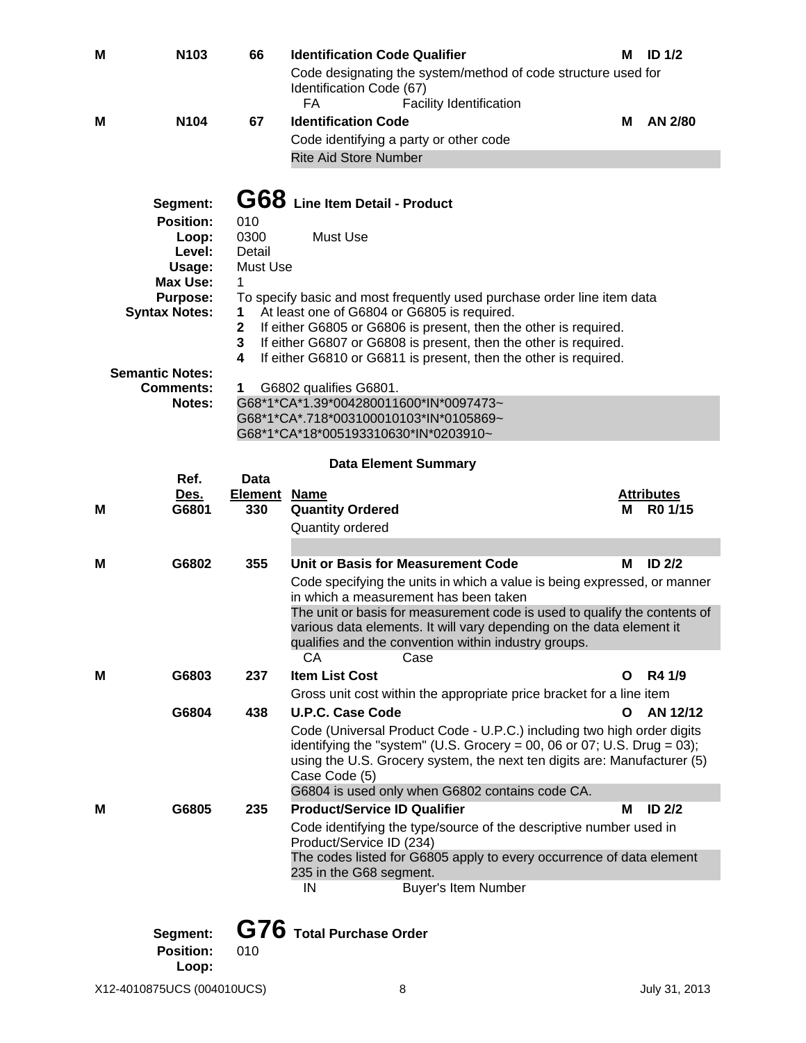| Μ | N103                                              | 66             | <b>Identification Code Qualifier</b><br>Code designating the system/method of code structure used for                                                                                                                   | М | <b>ID 1/2</b>     |
|---|---------------------------------------------------|----------------|-------------------------------------------------------------------------------------------------------------------------------------------------------------------------------------------------------------------------|---|-------------------|
|   |                                                   |                | Identification Code (67)<br><b>FA</b><br><b>Facility Identification</b>                                                                                                                                                 |   |                   |
| м | N <sub>104</sub>                                  | 67             | <b>Identification Code</b>                                                                                                                                                                                              | м | AN 2/80           |
|   |                                                   |                | Code identifying a party or other code                                                                                                                                                                                  |   |                   |
|   |                                                   |                | <b>Rite Aid Store Number</b>                                                                                                                                                                                            |   |                   |
|   |                                                   |                |                                                                                                                                                                                                                         |   |                   |
|   | Segment:                                          |                | G68 Line Item Detail - Product                                                                                                                                                                                          |   |                   |
|   | <b>Position:</b>                                  | 010            |                                                                                                                                                                                                                         |   |                   |
|   | Loop:<br>Level:                                   | 0300<br>Detail | Must Use                                                                                                                                                                                                                |   |                   |
|   | Usage:                                            | Must Use       |                                                                                                                                                                                                                         |   |                   |
|   | <b>Max Use:</b>                                   | 1              |                                                                                                                                                                                                                         |   |                   |
|   | <b>Purpose:</b><br><b>Syntax Notes:</b><br>1<br>2 |                | To specify basic and most frequently used purchase order line item data                                                                                                                                                 |   |                   |
|   |                                                   |                | At least one of G6804 or G6805 is required.<br>If either G6805 or G6806 is present, then the other is required.                                                                                                         |   |                   |
|   |                                                   | 3              | If either G6807 or G6808 is present, then the other is required.                                                                                                                                                        |   |                   |
|   |                                                   | 4              | If either G6810 or G6811 is present, then the other is required.                                                                                                                                                        |   |                   |
|   | <b>Semantic Notes:</b>                            |                |                                                                                                                                                                                                                         |   |                   |
|   | <b>Comments:</b>                                  | 1              | G6802 qualifies G6801.<br>G68*1*CA*1.39*004280011600*IN*0097473~                                                                                                                                                        |   |                   |
|   | Notes:                                            |                | G68*1*CA*.718*003100010103*IN*0105869~                                                                                                                                                                                  |   |                   |
|   |                                                   |                | G68*1*CA*18*005193310630*IN*0203910~                                                                                                                                                                                    |   |                   |
|   |                                                   |                |                                                                                                                                                                                                                         |   |                   |
|   | Ref.                                              | Data           | <b>Data Element Summary</b>                                                                                                                                                                                             |   |                   |
|   | Des.                                              | <b>Element</b> | <b>Name</b>                                                                                                                                                                                                             |   | <b>Attributes</b> |
| М | G6801                                             | 330            | <b>Quantity Ordered</b>                                                                                                                                                                                                 | м | R0 1/15           |
|   |                                                   |                | Quantity ordered                                                                                                                                                                                                        |   |                   |
|   |                                                   |                |                                                                                                                                                                                                                         |   |                   |
| м | G6802                                             | 355            | Unit or Basis for Measurement Code                                                                                                                                                                                      | м | ID <sub>2/2</sub> |
|   |                                                   |                | Code specifying the units in which a value is being expressed, or manner<br>in which a measurement has been taken                                                                                                       |   |                   |
|   |                                                   |                | The unit or basis for measurement code is used to qualify the contents of<br>various data elements. It will vary depending on the data element it<br>qualifies and the convention within industry groups.<br>CА<br>Case |   |                   |
| м | G6803                                             | 237            | <b>Item List Cost</b>                                                                                                                                                                                                   | O | R4 1/9            |
|   |                                                   |                | Gross unit cost within the appropriate price bracket for a line item                                                                                                                                                    |   |                   |
|   | G6804                                             | 438            | <b>U.P.C. Case Code</b>                                                                                                                                                                                                 | O | AN 12/12          |
|   |                                                   |                | Code (Universal Product Code - U.P.C.) including two high order digits                                                                                                                                                  |   |                   |
|   |                                                   |                | identifying the "system" (U.S. Grocery = 00, 06 or 07; U.S. Drug = 03);                                                                                                                                                 |   |                   |
|   |                                                   |                | using the U.S. Grocery system, the next ten digits are: Manufacturer (5)                                                                                                                                                |   |                   |
|   |                                                   |                | Case Code (5)<br>G6804 is used only when G6802 contains code CA.                                                                                                                                                        |   |                   |
| м | G6805                                             | 235            | <b>Product/Service ID Qualifier</b>                                                                                                                                                                                     | м | ID <sub>2/2</sub> |
|   |                                                   |                | Code identifying the type/source of the descriptive number used in<br>Product/Service ID (234)                                                                                                                          |   |                   |
|   |                                                   |                | The codes listed for G6805 apply to every occurrence of data element                                                                                                                                                    |   |                   |
|   |                                                   |                | 235 in the G68 segment.                                                                                                                                                                                                 |   |                   |
|   |                                                   |                | <b>Buyer's Item Number</b><br>IN                                                                                                                                                                                        |   |                   |
|   |                                                   |                |                                                                                                                                                                                                                         |   |                   |
|   | Segment:                                          |                | G76 Total Purchase Order                                                                                                                                                                                                |   |                   |
|   | <b>Position:</b><br>Loop:                         | 010            |                                                                                                                                                                                                                         |   |                   |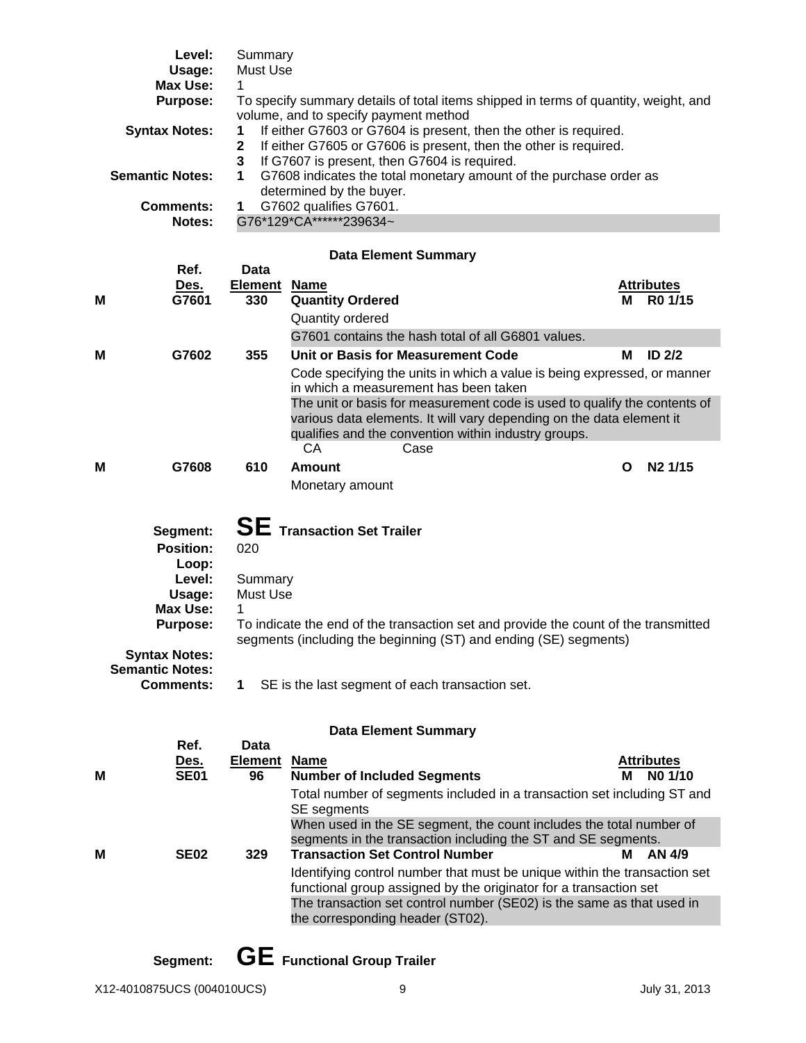|   | Level:                                                                           | Summary                                                                                                                      |                                                                                                                                      |                                   |  |  |  |  |
|---|----------------------------------------------------------------------------------|------------------------------------------------------------------------------------------------------------------------------|--------------------------------------------------------------------------------------------------------------------------------------|-----------------------------------|--|--|--|--|
|   | Usage:                                                                           | Must Use                                                                                                                     |                                                                                                                                      |                                   |  |  |  |  |
|   | <b>Max Use:</b>                                                                  | 1                                                                                                                            |                                                                                                                                      |                                   |  |  |  |  |
|   | <b>Purpose:</b>                                                                  | To specify summary details of total items shipped in terms of quantity, weight, and<br>volume, and to specify payment method |                                                                                                                                      |                                   |  |  |  |  |
|   | <b>Syntax Notes:</b>                                                             | 1                                                                                                                            | If either G7603 or G7604 is present, then the other is required.                                                                     |                                   |  |  |  |  |
|   | If either G7605 or G7606 is present, then the other is required.<br>$\mathbf{2}$ |                                                                                                                              |                                                                                                                                      |                                   |  |  |  |  |
|   |                                                                                  | 3                                                                                                                            | If G7607 is present, then G7604 is required.                                                                                         |                                   |  |  |  |  |
|   | <b>Semantic Notes:</b>                                                           | 1                                                                                                                            | G7608 indicates the total monetary amount of the purchase order as<br>determined by the buyer.                                       |                                   |  |  |  |  |
|   | <b>Comments:</b>                                                                 | 1                                                                                                                            |                                                                                                                                      |                                   |  |  |  |  |
|   | Notes:                                                                           | G7602 qualifies G7601.<br>G76*129*CA******239634~                                                                            |                                                                                                                                      |                                   |  |  |  |  |
|   |                                                                                  |                                                                                                                              |                                                                                                                                      |                                   |  |  |  |  |
|   |                                                                                  |                                                                                                                              | <b>Data Element Summary</b>                                                                                                          |                                   |  |  |  |  |
|   | Ref.                                                                             | Data                                                                                                                         |                                                                                                                                      |                                   |  |  |  |  |
| м | Des.<br>G7601                                                                    | <u>Element</u><br>330                                                                                                        | <b>Name</b><br><b>Quantity Ordered</b>                                                                                               | <b>Attributes</b><br>R0 1/15<br>м |  |  |  |  |
|   |                                                                                  |                                                                                                                              | <b>Quantity ordered</b>                                                                                                              |                                   |  |  |  |  |
|   |                                                                                  |                                                                                                                              | G7601 contains the hash total of all G6801 values.                                                                                   |                                   |  |  |  |  |
| M | G7602                                                                            | 355                                                                                                                          | Unit or Basis for Measurement Code                                                                                                   | ID <sub>2/2</sub><br>М            |  |  |  |  |
|   |                                                                                  |                                                                                                                              |                                                                                                                                      |                                   |  |  |  |  |
|   |                                                                                  |                                                                                                                              | Code specifying the units in which a value is being expressed, or manner<br>in which a measurement has been taken                    |                                   |  |  |  |  |
|   |                                                                                  |                                                                                                                              | The unit or basis for measurement code is used to qualify the contents of                                                            |                                   |  |  |  |  |
|   |                                                                                  |                                                                                                                              | various data elements. It will vary depending on the data element it                                                                 |                                   |  |  |  |  |
|   |                                                                                  |                                                                                                                              | qualifies and the convention within industry groups.                                                                                 |                                   |  |  |  |  |
|   |                                                                                  |                                                                                                                              | CA<br>Case                                                                                                                           |                                   |  |  |  |  |
| м | G7608                                                                            | 610                                                                                                                          | Amount                                                                                                                               | N <sub>2</sub> 1/15<br>O          |  |  |  |  |
|   |                                                                                  |                                                                                                                              | Monetary amount                                                                                                                      |                                   |  |  |  |  |
|   |                                                                                  |                                                                                                                              |                                                                                                                                      |                                   |  |  |  |  |
|   |                                                                                  |                                                                                                                              |                                                                                                                                      |                                   |  |  |  |  |
|   | Segment:                                                                         |                                                                                                                              | <b>SE</b> Transaction Set Trailer                                                                                                    |                                   |  |  |  |  |
|   | <b>Position:</b>                                                                 | 020                                                                                                                          |                                                                                                                                      |                                   |  |  |  |  |
|   | Loop:                                                                            |                                                                                                                              |                                                                                                                                      |                                   |  |  |  |  |
|   | Level:                                                                           | Summary                                                                                                                      |                                                                                                                                      |                                   |  |  |  |  |
|   | Usage:                                                                           | Must Use                                                                                                                     |                                                                                                                                      |                                   |  |  |  |  |
|   | <b>Max Use:</b>                                                                  |                                                                                                                              |                                                                                                                                      |                                   |  |  |  |  |
|   | <b>Purpose:</b>                                                                  |                                                                                                                              | To indicate the end of the transaction set and provide the count of the transmitted                                                  |                                   |  |  |  |  |
|   | <b>Syntax Notes:</b>                                                             |                                                                                                                              | segments (including the beginning (ST) and ending (SE) segments)                                                                     |                                   |  |  |  |  |
|   | <b>Semantic Notes:</b>                                                           |                                                                                                                              |                                                                                                                                      |                                   |  |  |  |  |
|   | <b>Comments:</b>                                                                 | 1                                                                                                                            | SE is the last segment of each transaction set.                                                                                      |                                   |  |  |  |  |
|   |                                                                                  |                                                                                                                              |                                                                                                                                      |                                   |  |  |  |  |
|   |                                                                                  |                                                                                                                              | <b>Data Element Summary</b>                                                                                                          |                                   |  |  |  |  |
|   | Ref.                                                                             | Data                                                                                                                         |                                                                                                                                      |                                   |  |  |  |  |
|   | <u>Des.</u>                                                                      | <b>Element</b>                                                                                                               | <b>Name</b>                                                                                                                          | <b>Attributes</b>                 |  |  |  |  |
| м | <b>SE01</b>                                                                      | 96                                                                                                                           | <b>Number of Included Segments</b>                                                                                                   | NO 1/10<br>м                      |  |  |  |  |
|   |                                                                                  |                                                                                                                              | Total number of segments included in a transaction set including ST and                                                              |                                   |  |  |  |  |
|   |                                                                                  |                                                                                                                              | SE segments                                                                                                                          |                                   |  |  |  |  |
|   |                                                                                  |                                                                                                                              | When used in the SE segment, the count includes the total number of<br>segments in the transaction including the ST and SE segments. |                                   |  |  |  |  |
| м | <b>SE02</b>                                                                      | 329                                                                                                                          | <b>Transaction Set Control Number</b>                                                                                                | AN 4/9<br>м                       |  |  |  |  |
|   |                                                                                  |                                                                                                                              | Identifying control number that must be unique within the transaction set                                                            |                                   |  |  |  |  |
|   |                                                                                  |                                                                                                                              | functional group assigned by the originator for a transaction set                                                                    |                                   |  |  |  |  |
|   |                                                                                  |                                                                                                                              | The transaction set control number (SE02) is the same as that used in                                                                |                                   |  |  |  |  |
|   |                                                                                  |                                                                                                                              |                                                                                                                                      |                                   |  |  |  |  |
|   |                                                                                  |                                                                                                                              |                                                                                                                                      |                                   |  |  |  |  |
|   |                                                                                  |                                                                                                                              |                                                                                                                                      |                                   |  |  |  |  |
|   |                                                                                  |                                                                                                                              |                                                                                                                                      |                                   |  |  |  |  |
|   |                                                                                  |                                                                                                                              |                                                                                                                                      |                                   |  |  |  |  |
|   |                                                                                  |                                                                                                                              | the corresponding header (ST02).                                                                                                     |                                   |  |  |  |  |

 **Segment: GE Functional Group Trailer**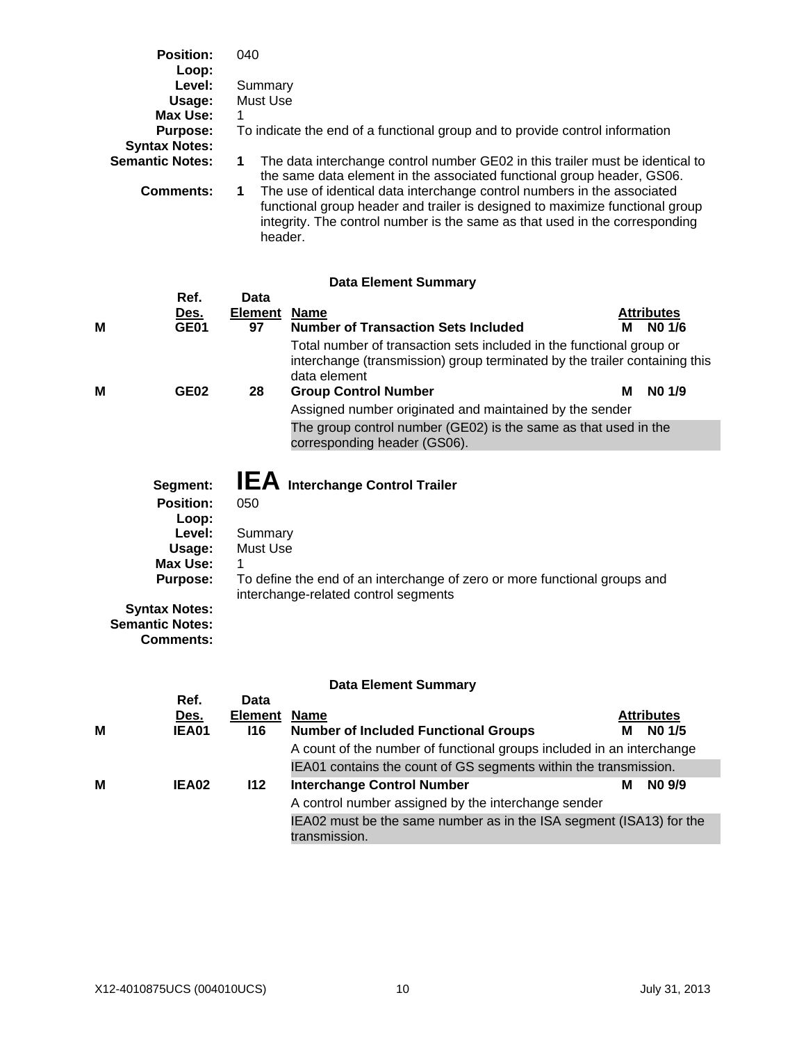| <b>Position:</b><br>Loop: | 040                                                                                                                                                                                                                                               |  |  |  |  |
|---------------------------|---------------------------------------------------------------------------------------------------------------------------------------------------------------------------------------------------------------------------------------------------|--|--|--|--|
| Level:                    | Summary                                                                                                                                                                                                                                           |  |  |  |  |
| Usage:                    | Must Use                                                                                                                                                                                                                                          |  |  |  |  |
| Max Use:                  |                                                                                                                                                                                                                                                   |  |  |  |  |
| <b>Purpose:</b>           | To indicate the end of a functional group and to provide control information                                                                                                                                                                      |  |  |  |  |
| <b>Syntax Notes:</b>      |                                                                                                                                                                                                                                                   |  |  |  |  |
| <b>Semantic Notes:</b>    | The data interchange control number GE02 in this trailer must be identical to<br>the same data element in the associated functional group header, GS06.                                                                                           |  |  |  |  |
| Comments:                 | The use of identical data interchange control numbers in the associated<br>functional group header and trailer is designed to maximize functional group<br>integrity. The control number is the same as that used in the corresponding<br>header. |  |  |  |  |

#### **Data Element Summary**

|                             | Ref.                                                                                                                                                           | Data                                                                                                                                                                                      |                                                                                                                                                                                                                                                              |                   |  |  |
|-----------------------------|----------------------------------------------------------------------------------------------------------------------------------------------------------------|-------------------------------------------------------------------------------------------------------------------------------------------------------------------------------------------|--------------------------------------------------------------------------------------------------------------------------------------------------------------------------------------------------------------------------------------------------------------|-------------------|--|--|
|                             | Des.                                                                                                                                                           | <b>Element</b>                                                                                                                                                                            | <b>Name</b>                                                                                                                                                                                                                                                  | <b>Attributes</b> |  |  |
| м                           | <b>GE01</b>                                                                                                                                                    | 97                                                                                                                                                                                        | <b>Number of Transaction Sets Included</b>                                                                                                                                                                                                                   | NO 1/6<br>м       |  |  |
| м                           | <b>GE02</b>                                                                                                                                                    | 28                                                                                                                                                                                        | Total number of transaction sets included in the functional group or<br>interchange (transmission) group terminated by the trailer containing this<br>data element<br><b>Group Control Number</b><br>Assigned number originated and maintained by the sender | NO 1/9<br>м       |  |  |
|                             |                                                                                                                                                                |                                                                                                                                                                                           | The group control number (GE02) is the same as that used in the<br>corresponding header (GS06).                                                                                                                                                              |                   |  |  |
|                             | Segment:<br><b>Position:</b><br>Loop:<br>Level:<br>Usage:<br>Max Use:<br><b>Purpose:</b><br><b>Syntax Notes:</b><br><b>Semantic Notes:</b><br><b>Comments:</b> | <b>IEA</b> Interchange Control Trailer<br>050<br>Summary<br>Must Use<br>To define the end of an interchange of zero or more functional groups and<br>interchange-related control segments |                                                                                                                                                                                                                                                              |                   |  |  |
| <b>Data Element Summary</b> |                                                                                                                                                                |                                                                                                                                                                                           |                                                                                                                                                                                                                                                              |                   |  |  |
|                             | Ref.                                                                                                                                                           | Data                                                                                                                                                                                      |                                                                                                                                                                                                                                                              |                   |  |  |
|                             | Des.                                                                                                                                                           | <b>Element</b>                                                                                                                                                                            | <b>Name</b>                                                                                                                                                                                                                                                  | <b>Attributes</b> |  |  |
| М                           | <b>IEA01</b>                                                                                                                                                   | 116                                                                                                                                                                                       | <b>Number of Included Functional Groups</b>                                                                                                                                                                                                                  | NO 1/5<br>м       |  |  |

A count of the number of functional groups included in an interchange IEA01 contains the count of GS segments within the transmission.

IEA02 must be the same number as in the ISA segment (ISA13) for the

A control number assigned by the interchange sender

transmission.